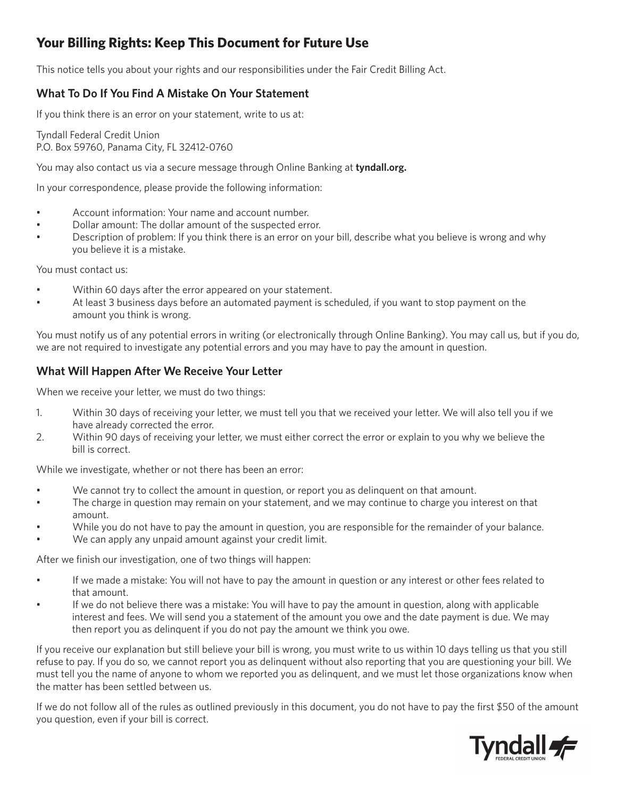# **Your Billing Rights: Keep This Document for Future Use**

This notice tells you about your rights and our responsibilities under the Fair Credit Billing Act.

#### **What To Do If You Find A Mistake On Your Statement**

If you think there is an error on your statement, write to us at:

Tyndall Federal Credit Union P.O. Box 59760, Panama City, FL 32412-0760

You may also contact us via a secure message through Online Banking at **tyndall.org.**

In your correspondence, please provide the following information:

- Account information: Your name and account number.
- Dollar amount: The dollar amount of the suspected error.
- Description of problem: If you think there is an error on your bill, describe what you believe is wrong and why you believe it is a mistake.

You must contact us:

- Within 60 days after the error appeared on your statement.
- At least 3 business days before an automated payment is scheduled, if you want to stop payment on the amount you think is wrong.

You must notify us of any potential errors in writing (or electronically through Online Banking). You may call us, but if you do, we are not required to investigate any potential errors and you may have to pay the amount in question.

#### **What Will Happen After We Receive Your Letter**

When we receive your letter, we must do two things:

- 1. Within 30 days of receiving your letter, we must tell you that we received your letter. We will also tell you if we have already corrected the error.
- 2. Within 90 days of receiving your letter, we must either correct the error or explain to you why we believe the bill is correct.

While we investigate, whether or not there has been an error:

- We cannot try to collect the amount in question, or report you as delinquent on that amount.
- The charge in question may remain on your statement, and we may continue to charge you interest on that amount.
- While you do not have to pay the amount in question, you are responsible for the remainder of your balance.
- We can apply any unpaid amount against your credit limit.

After we finish our investigation, one of two things will happen:

- If we made a mistake: You will not have to pay the amount in question or any interest or other fees related to that amount.
- If we do not believe there was a mistake: You will have to pay the amount in question, along with applicable interest and fees. We will send you a statement of the amount you owe and the date payment is due. We may then report you as delinquent if you do not pay the amount we think you owe.

If you receive our explanation but still believe your bill is wrong, you must write to us within 10 days telling us that you still refuse to pay. If you do so, we cannot report you as delinquent without also reporting that you are questioning your bill. We must tell you the name of anyone to whom we reported you as delinquent, and we must let those organizations know when the matter has been settled between us.

If we do not follow all of the rules as outlined previously in this document, you do not have to pay the first \$50 of the amount you question, even if your bill is correct.